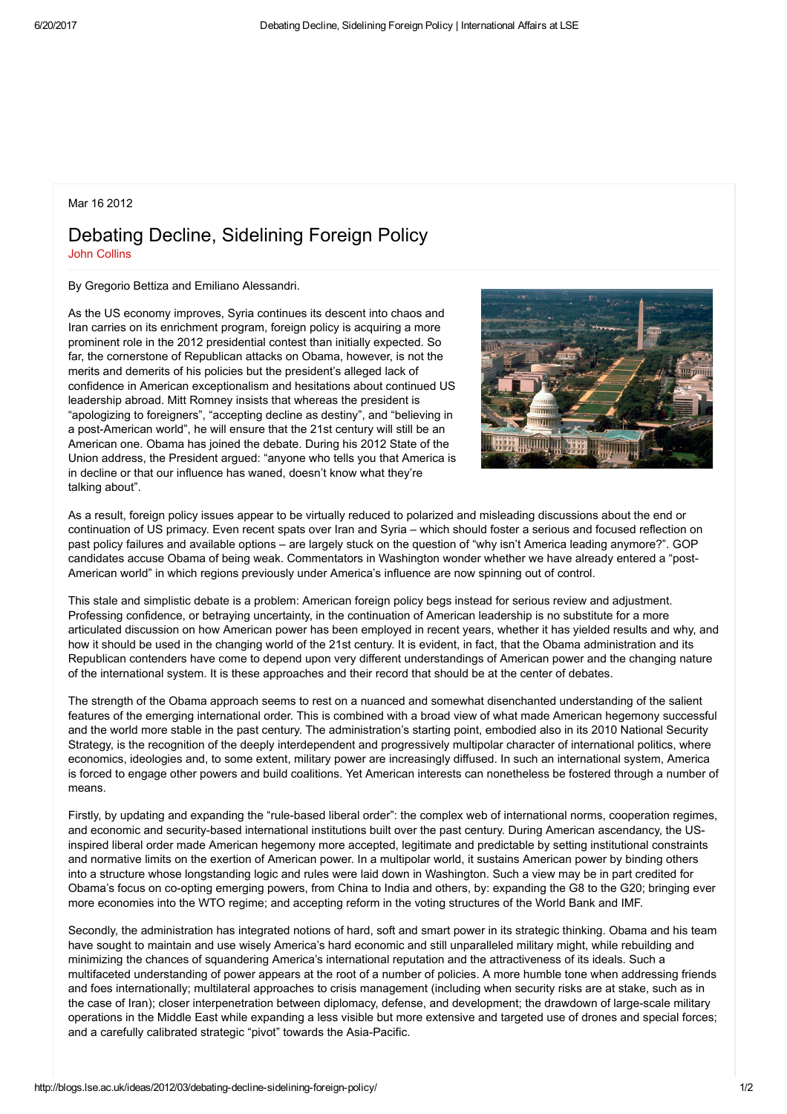## Mar 16 2012

## Debating Decline, Sidelining Foreign Policy John [Collins](http://blogs.lse.ac.uk/ideas/author/collinsj/)

By Gregorio Bettiza and Emiliano Alessandri.

As the US economy improves, Syria continues its descent into chaos and Iran carries on its enrichment program, foreign policy is acquiring a more prominent role in the 2012 presidential contest than initially expected. So far, the cornerstone of Republican attacks on Obama, however, is not the merits and demerits of his policies but the president's alleged lack of confidence in American exceptionalism and hesitations about continued US leadership abroad. Mitt Romney insists that whereas the president is "apologizing to foreigners", "accepting decline as destiny", and "believing in a post-American world", he will ensure that the 21st century will still be an American one. Obama has joined the debate. During his 2012 State of the Union address, the President argued: "anyone who tells you that America is in decline or that our influence has waned, doesn't know what they're talking about".



As a result, foreign policy issues appear to be virtually reduced to polarized and misleading discussions about the end or continuation of US primacy. Even recent spats over Iran and Syria – which should foster a serious and focused reflection on past policy failures and available options – are largely stuck on the question of "why isn't America leading anymore?". GOP candidates accuse Obama of being weak. Commentators in Washington wonder whether we have already entered a "post-American world" in which regions previously under America's influence are now spinning out of control.

This stale and simplistic debate is a problem: American foreign policy begs instead for serious review and adjustment. Professing confidence, or betraying uncertainty, in the continuation of American leadership is no substitute for a more articulated discussion on how American power has been employed in recent years, whether it has yielded results and why, and how it should be used in the changing world of the 21st century. It is evident, in fact, that the Obama administration and its Republican contenders have come to depend upon very different understandings of American power and the changing nature of the international system. It is these approaches and their record that should be at the center of debates.

The strength of the Obama approach seems to rest on a nuanced and somewhat disenchanted understanding of the salient features of the emerging international order. This is combined with a broad view of what made American hegemony successful and the world more stable in the past century. The administration's starting point, embodied also in its 2010 National Security Strategy, is the recognition of the deeply interdependent and progressively multipolar character of international politics, where economics, ideologies and, to some extent, military power are increasingly diffused. In such an international system, America is forced to engage other powers and build coalitions. Yet American interests can nonetheless be fostered through a number of means.

Firstly, by updating and expanding the "rule-based liberal order": the complex web of international norms, cooperation regimes, and economic and security-based international institutions built over the past century. During American ascendancy, the USinspired liberal order made American hegemony more accepted, legitimate and predictable by setting institutional constraints and normative limits on the exertion of American power. In a multipolar world, it sustains American power by binding others into a structure whose longstanding logic and rules were laid down in Washington. Such a view may be in part credited for Obama's focus on coopting emerging powers, from China to India and others, by: expanding the G8 to the G20; bringing ever more economies into the WTO regime; and accepting reform in the voting structures of the World Bank and IMF.

Secondly, the administration has integrated notions of hard, soft and smart power in its strategic thinking. Obama and his team have sought to maintain and use wisely America's hard economic and still unparalleled military might, while rebuilding and minimizing the chances of squandering America's international reputation and the attractiveness of its ideals. Such a multifaceted understanding of power appears at the root of a number of policies. A more humble tone when addressing friends and foes internationally; multilateral approaches to crisis management (including when security risks are at stake, such as in the case of Iran); closer interpenetration between diplomacy, defense, and development; the drawdown of large-scale military operations in the Middle East while expanding a less visible but more extensive and targeted use of drones and special forces; and a carefully calibrated strategic "pivot" towards the Asia-Pacific.